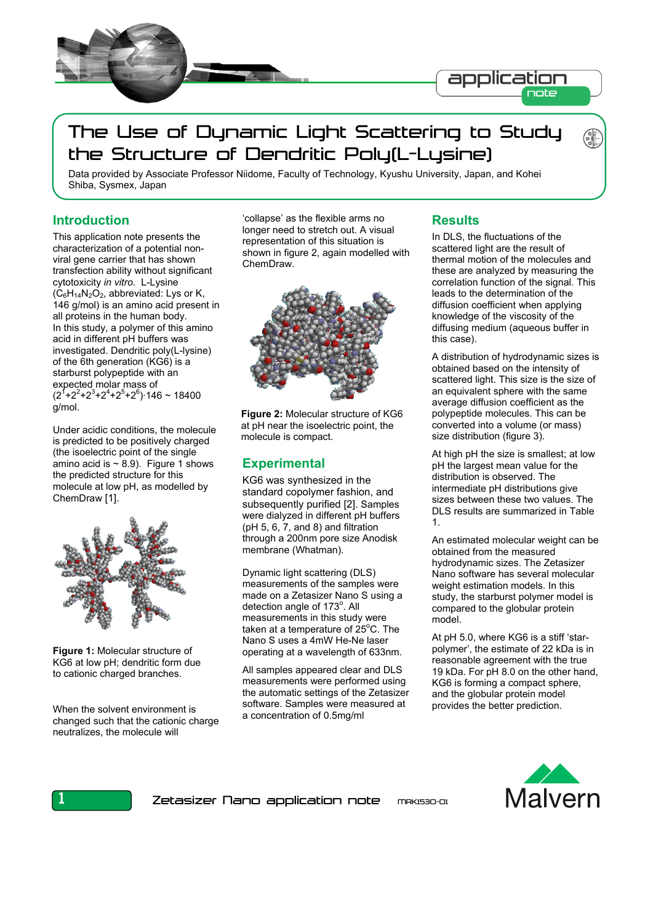

# The Use of Dynamic Light Scattering to Study the Structure of Dendritic Poly(L-Lysine)

Data provided by Associate Professor Niidome, Faculty of Technology, Kyushu University, Japan, and Kohei Shiba, Sysmex, Japan

## **Introduction**

This application note presents the characterization of a potential nonviral gene carrier that has shown transfection ability without significant cytotoxicity *in vitro*. L-Lysine  $(C_6H_{14}N_2O_2$ , abbreviated: Lys or K, 146 g/mol) is an amino acid present in all proteins in the human body. In this study, a polymer of this amino acid in different pH buffers was investigated. Dendritic poly(L-lysine) of the 6th generation (KG6) is a starburst polypeptide with an expected molar mass of  $(2^1+2^2+2^3+2^4+2^5+2^6)$  146 ~ 18400 g/mol.

Under acidic conditions, the molecule is predicted to be positively charged (the isoelectric point of the single amino acid is  $\sim$  8.9). Figure 1 shows the predicted structure for this molecule at low pH, as modelled by ChemDraw [1].



**Figure 1:** Molecular structure of KG6 at low pH; dendritic form due to cationic charged branches.

When the solvent environment is changed such that the cationic charge neutralizes, the molecule will

'collapse' as the flexible arms no longer need to stretch out. A visual representation of this situation is shown in figure 2, again modelled with ChemDraw.



**Figure 2:** Molecular structure of KG6 at pH near the isoelectric point, the molecule is compact.

# **Experimental**

KG6 was synthesized in the standard copolymer fashion, and subsequently purified [2]. Samples were dialyzed in different pH buffers (pH 5, 6, 7, and 8) and filtration through a 200nm pore size Anodisk membrane (Whatman).

Dynamic light scattering (DLS) measurements of the samples were made on a Zetasizer Nano S using a detection angle of 173°. All measurements in this study were taken at a temperature of  $25^{\circ}$ C. The Nano S uses a 4mW He-Ne laser operating at a wavelength of 633nm.

All samples appeared clear and DLS measurements were performed using the automatic settings of the Zetasizer software. Samples were measured at a concentration of 0.5mg/ml

# **Results**

In DLS, the fluctuations of the scattered light are the result of thermal motion of the molecules and these are analyzed by measuring the correlation function of the signal. This leads to the determination of the diffusion coefficient when applying knowledge of the viscosity of the diffusing medium (aqueous buffer in this case).

A distribution of hydrodynamic sizes is obtained based on the intensity of scattered light. This size is the size of an equivalent sphere with the same average diffusion coefficient as the polypeptide molecules. This can be converted into a volume (or mass) size distribution (figure 3).

At high pH the size is smallest; at low pH the largest mean value for the distribution is observed. The intermediate pH distributions give sizes between these two values. The DLS results are summarized in Table 1.

An estimated molecular weight can be obtained from the measured hydrodynamic sizes. The Zetasizer Nano software has several molecular weight estimation models. In this study, the starburst polymer model is compared to the globular protein model.

At pH 5.0, where KG6 is a stiff 'starpolymer', the estimate of 22 kDa is in reasonable agreement with the true 19 kDa. For pH 8.0 on the other hand, KG6 is forming a compact sphere, and the globular protein model provides the better prediction.



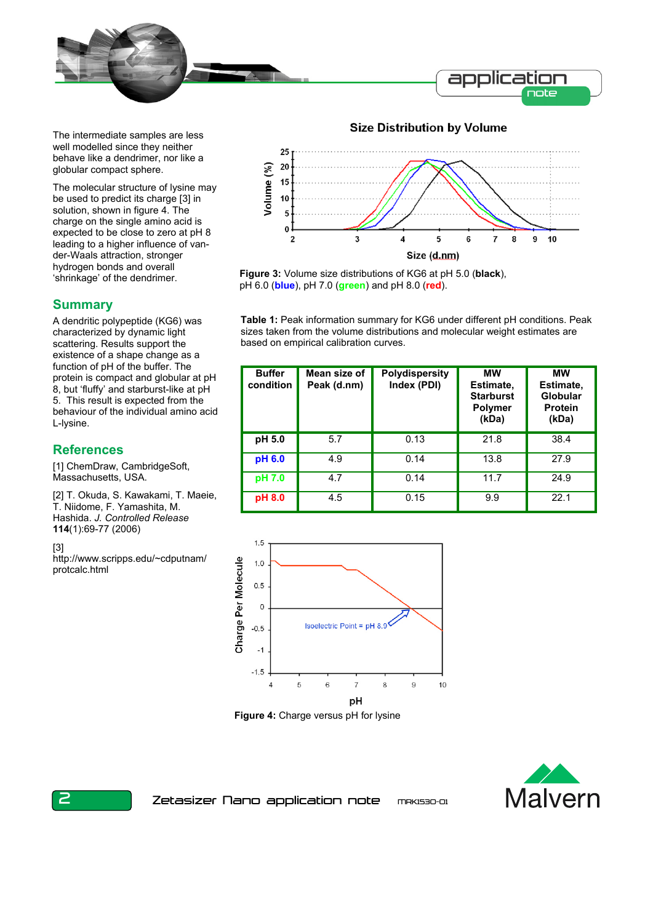

The intermediate samples are less well modelled since they neither behave like a dendrimer, nor like a globular compact sphere.

The molecular structure of lysine may be used to predict its charge [3] in solution, shown in figure 4. The charge on the single amino acid is expected to be close to zero at pH 8 leading to a higher influence of vander-Waals attraction, stronger hydrogen bonds and overall 'shrinkage' of the dendrimer.

## **Summary**

A dendritic polypeptide (KG6) was characterized by dynamic light scattering. Results support the existence of a shape change as a function of pH of the buffer. The protein is compact and globular at pH 8, but 'fluffy' and starburst-like at pH 5. This result is expected from the behaviour of the individual amino acid L-lysine.

# **References**

[1] ChemDraw, CambridgeSoft, Massachusetts, USA.

[2] T. Okuda, S. Kawakami, T. Maeie, T. Niidome, F. Yamashita, M. Hashida. *J. Controlled Release* **114**(1):69-77 (2006)

[3]

http://www.scripps.edu/~cdputnam/ protcalc.html



**Figure 3:** Volume size distributions of KG6 at pH 5.0 (**black**), pH 6.0 (**blue**), pH 7.0 (**green**) and pH 8.0 (**red**).

**Table 1:** Peak information summary for KG6 under different pH conditions. Peak sizes taken from the volume distributions and molecular weight estimates are based on empirical calibration curves.

| <b>Buffer</b><br>condition | Mean size of<br>Peak (d.nm) | <b>Polydispersity</b><br>Index (PDI) | <b>MW</b><br>Estimate,<br><b>Starburst</b><br><b>Polymer</b><br>(kDa) | <b>MW</b><br>Estimate,<br>Globular<br><b>Protein</b><br>(kDa) |
|----------------------------|-----------------------------|--------------------------------------|-----------------------------------------------------------------------|---------------------------------------------------------------|
| pH 5.0                     | 5.7                         | 0.13                                 | 21.8                                                                  | 38.4                                                          |
| pH 6.0                     | 4.9                         | 0.14                                 | 13.8                                                                  | 27.9                                                          |
| pH 7.0                     | 4.7                         | 0.14                                 | 11.7                                                                  | 24.9                                                          |
| pH 8.0                     | 4.5                         | 0.15                                 | 9.9                                                                   | 22.1                                                          |



**Figure 4:** Charge versus pH for lysine